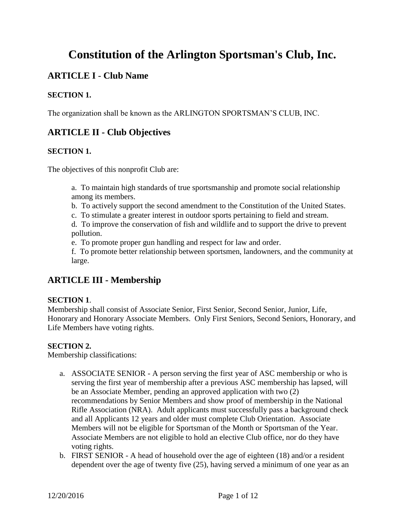# **Constitution of the Arlington Sportsman's Club, Inc.**

# **ARTICLE I** - **Club Name**

### **SECTION 1.**

The organization shall be known as the ARLINGTON SPORTSMAN'S CLUB, INC.

# **ARTICLE II - Club Objectives**

### **SECTION 1.**

The objectives of this nonprofit Club are:

a. To maintain high standards of true sportsmanship and promote social relationship among its members.

- b. To actively support the second amendment to the Constitution of the United States.
- c. To stimulate a greater interest in outdoor sports pertaining to field and stream.

d. To improve the conservation of fish and wildlife and to support the drive to prevent pollution.

e. To promote proper gun handling and respect for law and order.

f. To promote better relationship between sportsmen, landowners, and the community at large.

# **ARTICLE III - Membership**

### **SECTION 1**.

Membership shall consist of Associate Senior, First Senior, Second Senior, Junior, Life, Honorary and Honorary Associate Members. Only First Seniors, Second Seniors, Honorary, and Life Members have voting rights.

### **SECTION 2.**

Membership classifications:

- a. ASSOCIATE SENIOR A person serving the first year of ASC membership or who is serving the first year of membership after a previous ASC membership has lapsed, will be an Associate Member, pending an approved application with two (2) recommendations by Senior Members and show proof of membership in the National Rifle Association (NRA). Adult applicants must successfully pass a background check and all Applicants 12 years and older must complete Club Orientation. Associate Members will not be eligible for Sportsman of the Month or Sportsman of the Year. Associate Members are not eligible to hold an elective Club office, nor do they have voting rights.
- b. FIRST SENIOR A head of household over the age of eighteen (18) and/or a resident dependent over the age of twenty five (25), having served a minimum of one year as an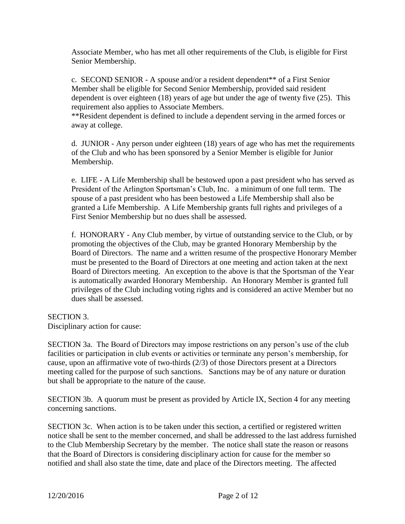Associate Member, who has met all other requirements of the Club, is eligible for First Senior Membership.

c. SECOND SENIOR - A spouse and/or a resident dependent\*\* of a First Senior Member shall be eligible for Second Senior Membership, provided said resident dependent is over eighteen (18) years of age but under the age of twenty five (25). This requirement also applies to Associate Members.

\*\*Resident dependent is defined to include a dependent serving in the armed forces or away at college.

d. JUNIOR - Any person under eighteen (18) years of age who has met the requirements of the Club and who has been sponsored by a Senior Member is eligible for Junior Membership.

e. LIFE - A Life Membership shall be bestowed upon a past president who has served as President of the Arlington Sportsman's Club, Inc. a minimum of one full term. The spouse of a past president who has been bestowed a Life Membership shall also be granted a Life Membership. A Life Membership grants full rights and privileges of a First Senior Membership but no dues shall be assessed.

f. HONORARY - Any Club member, by virtue of outstanding service to the Club, or by promoting the objectives of the Club, may be granted Honorary Membership by the Board of Directors. The name and a written resume of the prospective Honorary Member must be presented to the Board of Directors at one meeting and action taken at the next Board of Directors meeting. An exception to the above is that the Sportsman of the Year is automatically awarded Honorary Membership. An Honorary Member is granted full privileges of the Club including voting rights and is considered an active Member but no dues shall be assessed.

#### SECTION 3.

Disciplinary action for cause:

SECTION 3a. The Board of Directors may impose restrictions on any person's use of the club facilities or participation in club events or activities or terminate any person's membership, for cause, upon an affirmative vote of two-thirds (2/3) of those Directors present at a Directors meeting called for the purpose of such sanctions. Sanctions may be of any nature or duration but shall be appropriate to the nature of the cause.

SECTION 3b. A quorum must be present as provided by Article IX, Section 4 for any meeting concerning sanctions.

SECTION 3c. When action is to be taken under this section, a certified or registered written notice shall be sent to the member concerned, and shall be addressed to the last address furnished to the Club Membership Secretary by the member. The notice shall state the reason or reasons that the Board of Directors is considering disciplinary action for cause for the member so notified and shall also state the time, date and place of the Directors meeting. The affected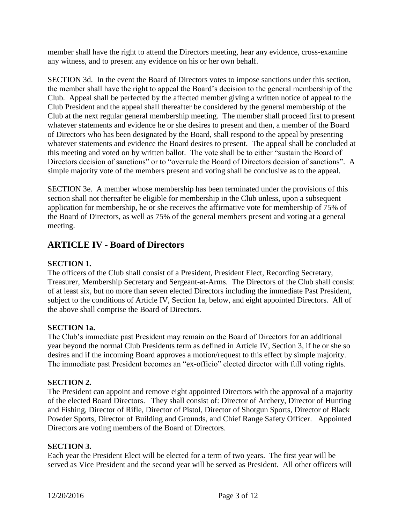member shall have the right to attend the Directors meeting, hear any evidence, cross-examine any witness, and to present any evidence on his or her own behalf.

SECTION 3d. In the event the Board of Directors votes to impose sanctions under this section, the member shall have the right to appeal the Board's decision to the general membership of the Club. Appeal shall be perfected by the affected member giving a written notice of appeal to the Club President and the appeal shall thereafter be considered by the general membership of the Club at the next regular general membership meeting. The member shall proceed first to present whatever statements and evidence he or she desires to present and then, a member of the Board of Directors who has been designated by the Board, shall respond to the appeal by presenting whatever statements and evidence the Board desires to present. The appeal shall be concluded at this meeting and voted on by written ballot. The vote shall be to either "sustain the Board of Directors decision of sanctions" or to "overrule the Board of Directors decision of sanctions". A simple majority vote of the members present and voting shall be conclusive as to the appeal.

SECTION 3e. A member whose membership has been terminated under the provisions of this section shall not thereafter be eligible for membership in the Club unless, upon a subsequent application for membership, he or she receives the affirmative vote for membership of 75% of the Board of Directors, as well as 75% of the general members present and voting at a general meeting.

# **ARTICLE IV - Board of Directors**

### **SECTION 1.**

The officers of the Club shall consist of a President, President Elect, Recording Secretary, Treasurer, Membership Secretary and Sergeant-at-Arms. The Directors of the Club shall consist of at least six, but no more than seven elected Directors including the immediate Past President, subject to the conditions of Article IV, Section 1a, below, and eight appointed Directors. All of the above shall comprise the Board of Directors.

### **SECTION 1a.**

The Club's immediate past President may remain on the Board of Directors for an additional year beyond the normal Club Presidents term as defined in Article IV, Section 3, if he or she so desires and if the incoming Board approves a motion/request to this effect by simple majority. The immediate past President becomes an "ex-officio" elected director with full voting rights.

### **SECTION 2.**

The President can appoint and remove eight appointed Directors with the approval of a majority of the elected Board Directors. They shall consist of: Director of Archery, Director of Hunting and Fishing, Director of Rifle, Director of Pistol, Director of Shotgun Sports, Director of Black Powder Sports, Director of Building and Grounds, and Chief Range Safety Officer. Appointed Directors are voting members of the Board of Directors.

### **SECTION 3.**

Each year the President Elect will be elected for a term of two years. The first year will be served as Vice President and the second year will be served as President. All other officers will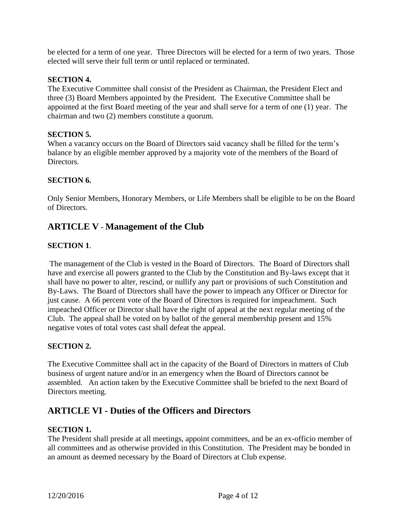be elected for a term of one year. Three Directors will be elected for a term of two years. Those elected will serve their full term or until replaced or terminated.

### **SECTION 4.**

The Executive Committee shall consist of the President as Chairman, the President Elect and three (3) Board Members appointed by the President. The Executive Committee shall be appointed at the first Board meeting of the year and shall serve for a term of one (1) year. The chairman and two (2) members constitute a quorum.

#### **SECTION 5.**

When a vacancy occurs on the Board of Directors said vacancy shall be filled for the term's balance by an eligible member approved by a majority vote of the members of the Board of Directors.

### **SECTION 6.**

Only Senior Members, Honorary Members, or Life Members shall be eligible to be on the Board of Directors.

# **ARTICLE V - Management of the Club**

### **SECTION 1**.

The management of the Club is vested in the Board of Directors. The Board of Directors shall have and exercise all powers granted to the Club by the Constitution and By-laws except that it shall have no power to alter, rescind, or nullify any part or provisions of such Constitution and By-Laws. The Board of Directors shall have the power to impeach any Officer or Director for just cause. A 66 percent vote of the Board of Directors is required for impeachment. Such impeached Officer or Director shall have the right of appeal at the next regular meeting of the Club. The appeal shall be voted on by ballot of the general membership present and 15% negative votes of total votes cast shall defeat the appeal.

### **SECTION 2.**

The Executive Committee shall act in the capacity of the Board of Directors in matters of Club business of urgent nature and/or in an emergency when the Board of Directors cannot be assembled. An action taken by the Executive Committee shall be briefed to the next Board of Directors meeting.

# **ARTICLE VI - Duties of the Officers and Directors**

#### **SECTION 1.**

The President shall preside at all meetings, appoint committees, and be an ex-officio member of all committees and as otherwise provided in this Constitution. The President may be bonded in an amount as deemed necessary by the Board of Directors at Club expense.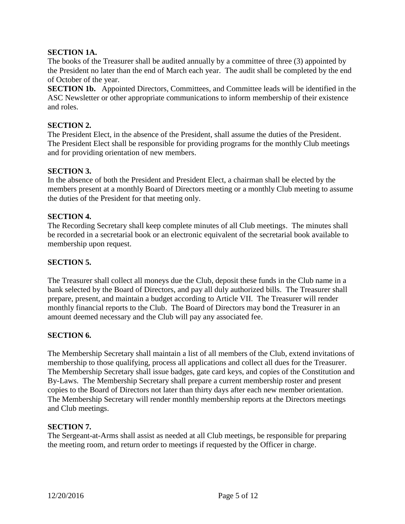### **SECTION 1A.**

The books of the Treasurer shall be audited annually by a committee of three (3) appointed by the President no later than the end of March each year. The audit shall be completed by the end of October of the year.

**SECTION 1b.** Appointed Directors, Committees, and Committee leads will be identified in the ASC Newsletter or other appropriate communications to inform membership of their existence and roles.

#### **SECTION 2.**

The President Elect, in the absence of the President, shall assume the duties of the President. The President Elect shall be responsible for providing programs for the monthly Club meetings and for providing orientation of new members.

#### **SECTION 3.**

In the absence of both the President and President Elect, a chairman shall be elected by the members present at a monthly Board of Directors meeting or a monthly Club meeting to assume the duties of the President for that meeting only.

#### **SECTION 4.**

The Recording Secretary shall keep complete minutes of all Club meetings. The minutes shall be recorded in a secretarial book or an electronic equivalent of the secretarial book available to membership upon request.

#### **SECTION 5.**

The Treasurer shall collect all moneys due the Club, deposit these funds in the Club name in a bank selected by the Board of Directors, and pay all duly authorized bills. The Treasurer shall prepare, present, and maintain a budget according to Article VII. The Treasurer will render monthly financial reports to the Club. The Board of Directors may bond the Treasurer in an amount deemed necessary and the Club will pay any associated fee.

#### **SECTION 6.**

The Membership Secretary shall maintain a list of all members of the Club, extend invitations of membership to those qualifying, process all applications and collect all dues for the Treasurer. The Membership Secretary shall issue badges, gate card keys, and copies of the Constitution and By-Laws. The Membership Secretary shall prepare a current membership roster and present copies to the Board of Directors not later than thirty days after each new member orientation. The Membership Secretary will render monthly membership reports at the Directors meetings and Club meetings.

#### **SECTION 7.**

The Sergeant-at-Arms shall assist as needed at all Club meetings, be responsible for preparing the meeting room, and return order to meetings if requested by the Officer in charge.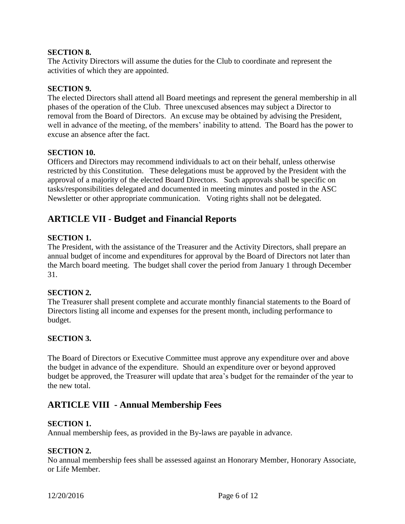#### **SECTION 8.**

The Activity Directors will assume the duties for the Club to coordinate and represent the activities of which they are appointed.

### **SECTION 9.**

The elected Directors shall attend all Board meetings and represent the general membership in all phases of the operation of the Club. Three unexcused absences may subject a Director to removal from the Board of Directors. An excuse may be obtained by advising the President, well in advance of the meeting, of the members' inability to attend. The Board has the power to excuse an absence after the fact.

#### **SECTION 10.**

Officers and Directors may recommend individuals to act on their behalf, unless otherwise restricted by this Constitution. These delegations must be approved by the President with the approval of a majority of the elected Board Directors. Such approvals shall be specific on tasks/responsibilities delegated and documented in meeting minutes and posted in the ASC Newsletter or other appropriate communication. Voting rights shall not be delegated.

# **ARTICLE VII - Budget and Financial Reports**

### **SECTION 1.**

The President, with the assistance of the Treasurer and the Activity Directors, shall prepare an annual budget of income and expenditures for approval by the Board of Directors not later than the March board meeting. The budget shall cover the period from January 1 through December 31.

#### **SECTION 2.**

The Treasurer shall present complete and accurate monthly financial statements to the Board of Directors listing all income and expenses for the present month, including performance to budget.

#### **SECTION 3.**

The Board of Directors or Executive Committee must approve any expenditure over and above the budget in advance of the expenditure. Should an expenditure over or beyond approved budget be approved, the Treasurer will update that area's budget for the remainder of the year to the new total.

# **ARTICLE VIII - Annual Membership Fees**

#### **SECTION 1.**

Annual membership fees, as provided in the By-laws are payable in advance.

#### **SECTION 2.**

No annual membership fees shall be assessed against an Honorary Member, Honorary Associate, or Life Member.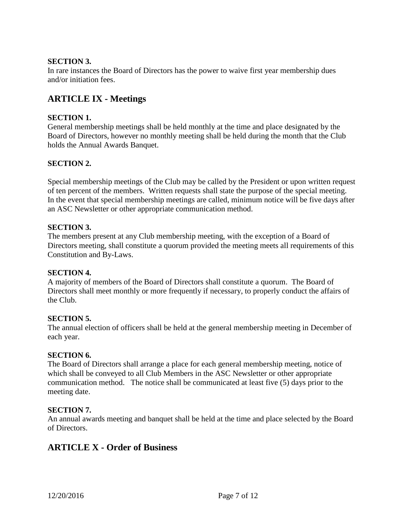### **SECTION 3.**

In rare instances the Board of Directors has the power to waive first year membership dues and/or initiation fees.

# **ARTICLE IX - Meetings**

### **SECTION 1.**

General membership meetings shall be held monthly at the time and place designated by the Board of Directors, however no monthly meeting shall be held during the month that the Club holds the Annual Awards Banquet.

### **SECTION 2.**

Special membership meetings of the Club may be called by the President or upon written request of ten percent of the members. Written requests shall state the purpose of the special meeting. In the event that special membership meetings are called, minimum notice will be five days after an ASC Newsletter or other appropriate communication method.

#### **SECTION 3.**

The members present at any Club membership meeting, with the exception of a Board of Directors meeting, shall constitute a quorum provided the meeting meets all requirements of this Constitution and By-Laws.

#### **SECTION 4.**

A majority of members of the Board of Directors shall constitute a quorum. The Board of Directors shall meet monthly or more frequently if necessary, to properly conduct the affairs of the Club.

#### **SECTION 5.**

The annual election of officers shall be held at the general membership meeting in December of each year.

#### **SECTION 6.**

The Board of Directors shall arrange a place for each general membership meeting, notice of which shall be conveyed to all Club Members in the ASC Newsletter or other appropriate communication method. The notice shall be communicated at least five (5) days prior to the meeting date.

#### **SECTION 7.**

An annual awards meeting and banquet shall be held at the time and place selected by the Board of Directors.

# **ARTICLE X - Order of Business**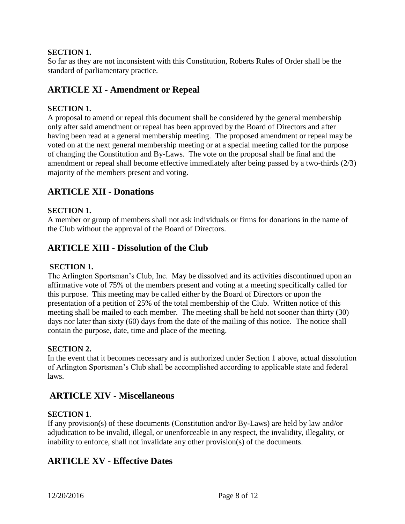### **SECTION 1.**

So far as they are not inconsistent with this Constitution, Roberts Rules of Order shall be the standard of parliamentary practice.

# **ARTICLE XI - Amendment or Repeal**

### **SECTION 1.**

A proposal to amend or repeal this document shall be considered by the general membership only after said amendment or repeal has been approved by the Board of Directors and after having been read at a general membership meeting. The proposed amendment or repeal may be voted on at the next general membership meeting or at a special meeting called for the purpose of changing the Constitution and By-Laws. The vote on the proposal shall be final and the amendment or repeal shall become effective immediately after being passed by a two-thirds (2/3) majority of the members present and voting.

# **ARTICLE XII - Donations**

#### **SECTION 1.**

A member or group of members shall not ask individuals or firms for donations in the name of the Club without the approval of the Board of Directors.

### **ARTICLE XIII - Dissolution of the Club**

#### **SECTION 1.**

The Arlington Sportsman's Club, Inc. May be dissolved and its activities discontinued upon an affirmative vote of 75% of the members present and voting at a meeting specifically called for this purpose. This meeting may be called either by the Board of Directors or upon the presentation of a petition of 25% of the total membership of the Club. Written notice of this meeting shall be mailed to each member. The meeting shall be held not sooner than thirty (30) days nor later than sixty (60) days from the date of the mailing of this notice. The notice shall contain the purpose, date, time and place of the meeting.

#### **SECTION 2.**

In the event that it becomes necessary and is authorized under Section 1 above, actual dissolution of Arlington Sportsman's Club shall be accomplished according to applicable state and federal laws.

### **ARTICLE XIV - Miscellaneous**

#### **SECTION 1**.

If any provision(s) of these documents (Constitution and/or By-Laws) are held by law and/or adjudication to be invalid, illegal, or unenforceable in any respect, the invalidity, illegality, or inability to enforce, shall not invalidate any other provision(s) of the documents.

### **ARTICLE XV - Effective Dates**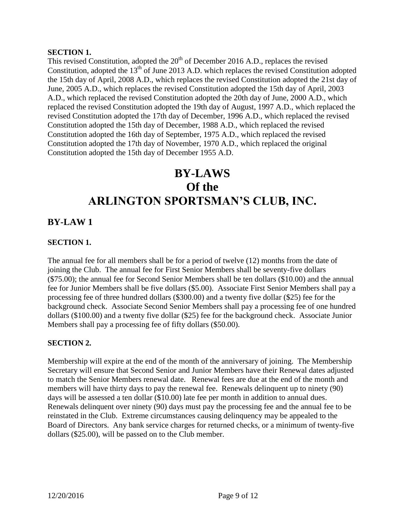#### **SECTION 1.**

This revised Constitution, adopted the  $20<sup>th</sup>$  of December 2016 A.D., replaces the revised Constitution, adopted the 13<sup>th</sup> of June 2013 A.D. which replaces the revised Constitution adopted the 15th day of April, 2008 A.D., which replaces the revised Constitution adopted the 21st day of June, 2005 A.D., which replaces the revised Constitution adopted the 15th day of April, 2003 A.D., which replaced the revised Constitution adopted the 20th day of June, 2000 A.D., which replaced the revised Constitution adopted the 19th day of August, 1997 A.D., which replaced the revised Constitution adopted the 17th day of December, 1996 A.D., which replaced the revised Constitution adopted the 15th day of December, 1988 A.D., which replaced the revised Constitution adopted the 16th day of September, 1975 A.D., which replaced the revised Constitution adopted the 17th day of November, 1970 A.D., which replaced the original Constitution adopted the 15th day of December 1955 A.D.

# **BY-LAWS Of the ARLINGTON SPORTSMAN'S CLUB, INC.**

# **BY-LAW 1**

### **SECTION 1.**

The annual fee for all members shall be for a period of twelve (12) months from the date of joining the Club. The annual fee for First Senior Members shall be seventy-five dollars (\$75.00); the annual fee for Second Senior Members shall be ten dollars (\$10.00) and the annual fee for Junior Members shall be five dollars (\$5.00). Associate First Senior Members shall pay a processing fee of three hundred dollars (\$300.00) and a twenty five dollar (\$25) fee for the background check. Associate Second Senior Members shall pay a processing fee of one hundred dollars (\$100.00) and a twenty five dollar (\$25) fee for the background check. Associate Junior Members shall pay a processing fee of fifty dollars (\$50.00).

### **SECTION 2.**

Membership will expire at the end of the month of the anniversary of joining. The Membership Secretary will ensure that Second Senior and Junior Members have their Renewal dates adjusted to match the Senior Members renewal date. Renewal fees are due at the end of the month and members will have thirty days to pay the renewal fee. Renewals delinquent up to ninety (90) days will be assessed a ten dollar (\$10.00) late fee per month in addition to annual dues. Renewals delinquent over ninety (90) days must pay the processing fee and the annual fee to be reinstated in the Club. Extreme circumstances causing delinquency may be appealed to the Board of Directors. Any bank service charges for returned checks, or a minimum of twenty-five dollars (\$25.00), will be passed on to the Club member.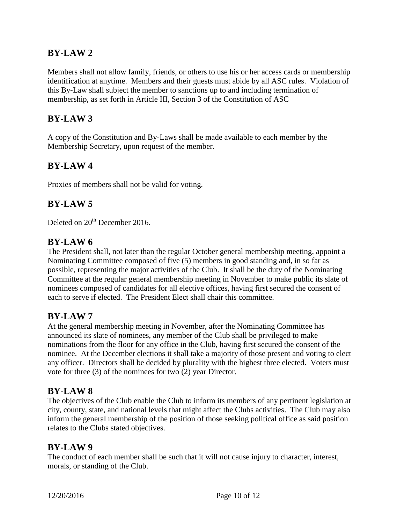# **BY-LAW 2**

Members shall not allow family, friends, or others to use his or her access cards or membership identification at anytime. Members and their guests must abide by all ASC rules. Violation of this By-Law shall subject the member to sanctions up to and including termination of membership, as set forth in Article III, Section 3 of the Constitution of ASC

# **BY-LAW 3**

A copy of the Constitution and By-Laws shall be made available to each member by the Membership Secretary, upon request of the member.

# **BY-LAW 4**

Proxies of members shall not be valid for voting.

# **BY-LAW 5**

Deleted on 20<sup>th</sup> December 2016.

### **BY-LAW 6**

The President shall, not later than the regular October general membership meeting, appoint a Nominating Committee composed of five (5) members in good standing and, in so far as possible, representing the major activities of the Club. It shall be the duty of the Nominating Committee at the regular general membership meeting in November to make public its slate of nominees composed of candidates for all elective offices, having first secured the consent of each to serve if elected. The President Elect shall chair this committee.

### **BY-LAW 7**

At the general membership meeting in November, after the Nominating Committee has announced its slate of nominees, any member of the Club shall be privileged to make nominations from the floor for any office in the Club, having first secured the consent of the nominee. At the December elections it shall take a majority of those present and voting to elect any officer. Directors shall be decided by plurality with the highest three elected. Voters must vote for three (3) of the nominees for two (2) year Director.

### **BY-LAW 8**

The objectives of the Club enable the Club to inform its members of any pertinent legislation at city, county, state, and national levels that might affect the Clubs activities. The Club may also inform the general membership of the position of those seeking political office as said position relates to the Clubs stated objectives.

### **BY-LAW 9**

The conduct of each member shall be such that it will not cause injury to character, interest, morals, or standing of the Club.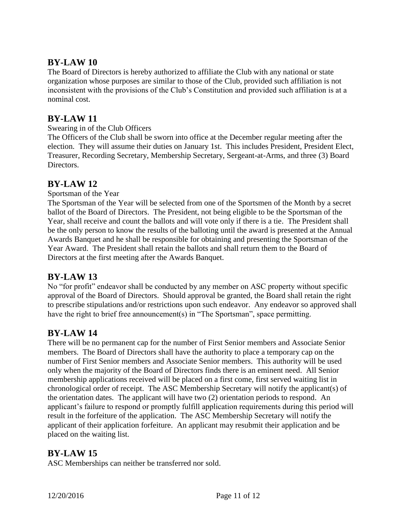# **BY-LAW 10**

The Board of Directors is hereby authorized to affiliate the Club with any national or state organization whose purposes are similar to those of the Club, provided such affiliation is not inconsistent with the provisions of the Club's Constitution and provided such affiliation is at a nominal cost.

# **BY-LAW 11**

### Swearing in of the Club Officers

The Officers of the Club shall be sworn into office at the December regular meeting after the election. They will assume their duties on January 1st. This includes President, President Elect, Treasurer, Recording Secretary, Membership Secretary, Sergeant-at-Arms, and three (3) Board Directors.

# **BY-LAW 12**

Sportsman of the Year

The Sportsman of the Year will be selected from one of the Sportsmen of the Month by a secret ballot of the Board of Directors. The President, not being eligible to be the Sportsman of the Year, shall receive and count the ballots and will vote only if there is a tie. The President shall be the only person to know the results of the balloting until the award is presented at the Annual Awards Banquet and he shall be responsible for obtaining and presenting the Sportsman of the Year Award. The President shall retain the ballots and shall return them to the Board of Directors at the first meeting after the Awards Banquet.

# **BY-LAW 13**

No "for profit" endeavor shall be conducted by any member on ASC property without specific approval of the Board of Directors. Should approval be granted, the Board shall retain the right to prescribe stipulations and/or restrictions upon such endeavor. Any endeavor so approved shall have the right to brief free announcement(s) in "The Sportsman", space permitting.

# **BY-LAW 14**

There will be no permanent cap for the number of First Senior members and Associate Senior members. The Board of Directors shall have the authority to place a temporary cap on the number of First Senior members and Associate Senior members. This authority will be used only when the majority of the Board of Directors finds there is an eminent need. All Senior membership applications received will be placed on a first come, first served waiting list in chronological order of receipt. The ASC Membership Secretary will notify the applicant(s) of the orientation dates. The applicant will have two (2) orientation periods to respond. An applicant's failure to respond or promptly fulfill application requirements during this period will result in the forfeiture of the application. The ASC Membership Secretary will notify the applicant of their application forfeiture. An applicant may resubmit their application and be placed on the waiting list.

# **BY-LAW 15**

ASC Memberships can neither be transferred nor sold.